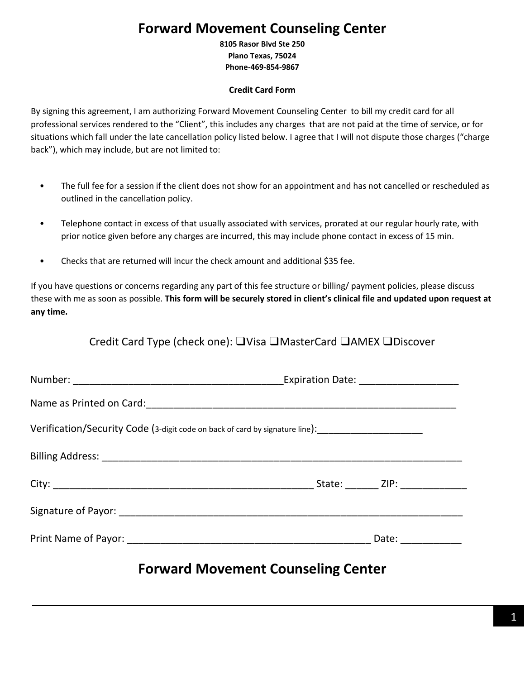# **Forward Movement Counseling Center**

**8105 Rasor Blvd Ste 250 Plano Texas, 75024 Phone-469-854-9867**

### **Credit Card Form**

By signing this agreement, I am authorizing Forward Movement Counseling Center to bill my credit card for all professional services rendered to the "Client", this includes any charges that are not paid at the time of service, or for situations which fall under the late cancellation policy listed below. I agree that I will not dispute those charges ("charge back"), which may include, but are not limited to:

- The full fee for a session if the client does not show for an appointment and has not cancelled or rescheduled as outlined in the cancellation policy.
- Telephone contact in excess of that usually associated with services, prorated at our regular hourly rate, with prior notice given before any charges are incurred, this may include phone contact in excess of 15 min.
- Checks that are returned will incur the check amount and additional \$35 fee.

If you have questions or concerns regarding any part of this fee structure or billing/ payment policies, please discuss these with me as soon as possible. **This form will be securely stored in client's clinical file and updated upon request at any time.** 

Credit Card Type (check one): ❑Visa ❑MasterCard ❑AMEX ❑Discover

| Verification/Security Code (3-digit code on back of card by signature line):<br> |                                                        |
|----------------------------------------------------------------------------------|--------------------------------------------------------|
|                                                                                  |                                                        |
|                                                                                  |                                                        |
|                                                                                  |                                                        |
|                                                                                  | Date: $\frac{1}{\sqrt{1-\frac{1}{2}}\cdot\frac{1}{2}}$ |

## **Forward Movement Counseling Center**